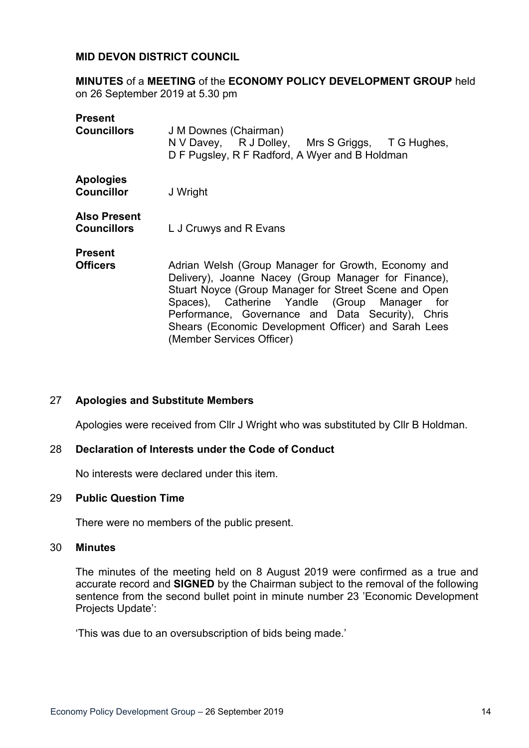### **MID DEVON DISTRICT COUNCIL**

**MINUTES** of a **MEETING** of the **ECONOMY POLICY DEVELOPMENT GROUP** held on 26 September 2019 at 5.30 pm

| <b>Present</b><br><b>Councillors</b>      | J M Downes (Chairman)<br>N V Davey, R J Dolley, Mrs S Griggs, T G Hughes,<br>D F Pugsley, R F Radford, A Wyer and B Holdman                                                                                                                                                                                                                                       |
|-------------------------------------------|-------------------------------------------------------------------------------------------------------------------------------------------------------------------------------------------------------------------------------------------------------------------------------------------------------------------------------------------------------------------|
| <b>Apologies</b><br><b>Councillor</b>     | J Wright                                                                                                                                                                                                                                                                                                                                                          |
| <b>Also Present</b><br><b>Councillors</b> | L J Cruwys and R Evans                                                                                                                                                                                                                                                                                                                                            |
| <b>Present</b><br><b>Officers</b>         | Adrian Welsh (Group Manager for Growth, Economy and<br>Delivery), Joanne Nacey (Group Manager for Finance),<br>Stuart Noyce (Group Manager for Street Scene and Open<br>Spaces), Catherine Yandle (Group Manager<br>for<br>Performance, Governance and Data Security), Chris<br>Shears (Economic Development Officer) and Sarah Lees<br>(Member Services Officer) |

#### 27 **Apologies and Substitute Members**

Apologies were received from Cllr J Wright who was substituted by Cllr B Holdman.

#### 28 **Declaration of Interests under the Code of Conduct**

No interests were declared under this item.

#### 29 **Public Question Time**

There were no members of the public present.

#### 30 **Minutes**

The minutes of the meeting held on 8 August 2019 were confirmed as a true and accurate record and **SIGNED** by the Chairman subject to the removal of the following sentence from the second bullet point in minute number 23 'Economic Development Projects Update':

'This was due to an oversubscription of bids being made.'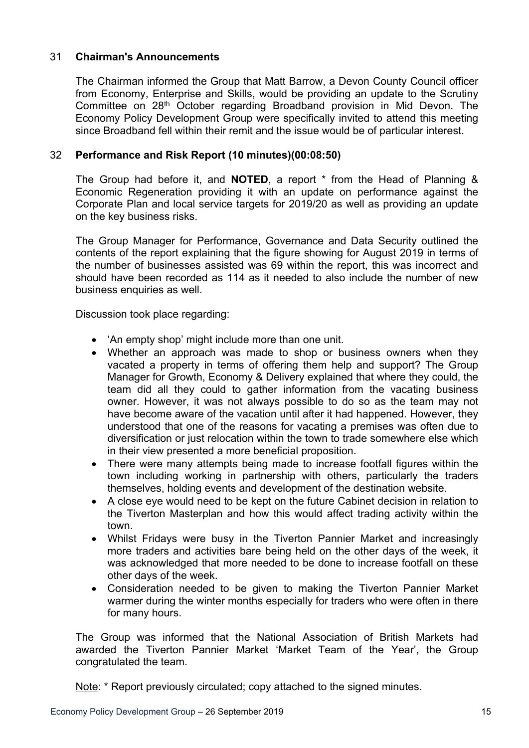## 31 **Chairman's Announcements**

The Chairman informed the Group that Matt Barrow, a Devon County Council officer from Economy, Enterprise and Skills, would be providing an update to the Scrutiny Committee on 28th October regarding Broadband provision in Mid Devon. The Economy Policy Development Group were specifically invited to attend this meeting since Broadband fell within their remit and the issue would be of particular interest.

## 32 **Performance and Risk Report (10 minutes)(00:08:50)**

The Group had before it, and **NOTED**, a report \* from the Head of Planning & Economic Regeneration providing it with an update on performance against the Corporate Plan and local service targets for 2019/20 as well as providing an update on the key business risks.

The Group Manager for Performance, Governance and Data Security outlined the contents of the report explaining that the figure showing for August 2019 in terms of the number of businesses assisted was 69 within the report, this was incorrect and should have been recorded as 114 as it needed to also include the number of new business enquiries as well.

Discussion took place regarding:

- 'An empty shop' might include more than one unit.
- Whether an approach was made to shop or business owners when they vacated a property in terms of offering them help and support? The Group Manager for Growth, Economy & Delivery explained that where they could, the team did all they could to gather information from the vacating business owner. However, it was not always possible to do so as the team may not have become aware of the vacation until after it had happened. However, they understood that one of the reasons for vacating a premises was often due to diversification or just relocation within the town to trade somewhere else which in their view presented a more beneficial proposition.
- There were many attempts being made to increase footfall figures within the town including working in partnership with others, particularly the traders themselves, holding events and development of the destination website.
- A close eye would need to be kept on the future Cabinet decision in relation to the Tiverton Masterplan and how this would affect trading activity within the town.
- Whilst Fridays were busy in the Tiverton Pannier Market and increasingly more traders and activities bare being held on the other days of the week, it was acknowledged that more needed to be done to increase footfall on these other days of the week.
- Consideration needed to be given to making the Tiverton Pannier Market warmer during the winter months especially for traders who were often in there for many hours.

The Group was informed that the National Association of British Markets had awarded the Tiverton Pannier Market 'Market Team of the Year', the Group congratulated the team.

Note: \* Report previously circulated; copy attached to the signed minutes.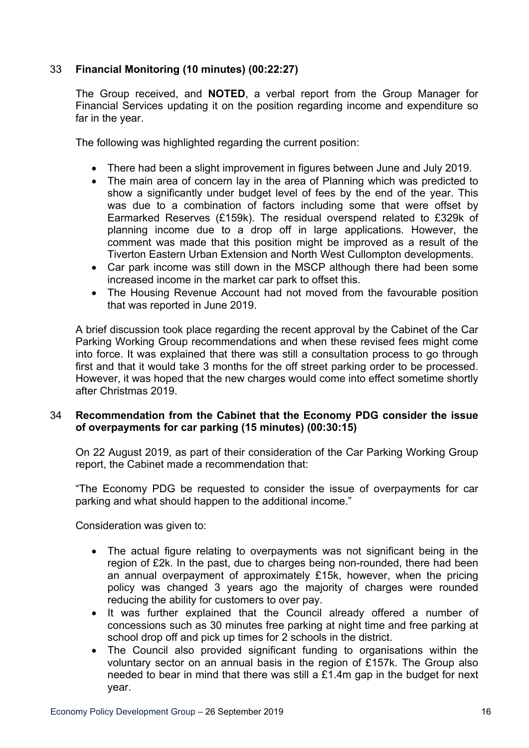# 33 **Financial Monitoring (10 minutes) (00:22:27)**

The Group received, and **NOTED**, a verbal report from the Group Manager for Financial Services updating it on the position regarding income and expenditure so far in the year.

The following was highlighted regarding the current position:

- There had been a slight improvement in figures between June and July 2019.
- The main area of concern lay in the area of Planning which was predicted to show a significantly under budget level of fees by the end of the year. This was due to a combination of factors including some that were offset by Earmarked Reserves (£159k). The residual overspend related to £329k of planning income due to a drop off in large applications. However, the comment was made that this position might be improved as a result of the Tiverton Eastern Urban Extension and North West Cullompton developments.
- Car park income was still down in the MSCP although there had been some increased income in the market car park to offset this.
- The Housing Revenue Account had not moved from the favourable position that was reported in June 2019.

A brief discussion took place regarding the recent approval by the Cabinet of the Car Parking Working Group recommendations and when these revised fees might come into force. It was explained that there was still a consultation process to go through first and that it would take 3 months for the off street parking order to be processed. However, it was hoped that the new charges would come into effect sometime shortly after Christmas 2019.

### 34 **Recommendation from the Cabinet that the Economy PDG consider the issue of overpayments for car parking (15 minutes) (00:30:15)**

On 22 August 2019, as part of their consideration of the Car Parking Working Group report, the Cabinet made a recommendation that:

"The Economy PDG be requested to consider the issue of overpayments for car parking and what should happen to the additional income."

Consideration was given to:

- The actual figure relating to overpayments was not significant being in the region of £2k. In the past, due to charges being non-rounded, there had been an annual overpayment of approximately £15k, however, when the pricing policy was changed 3 years ago the majority of charges were rounded reducing the ability for customers to over pay.
- It was further explained that the Council already offered a number of concessions such as 30 minutes free parking at night time and free parking at school drop off and pick up times for 2 schools in the district.
- The Council also provided significant funding to organisations within the voluntary sector on an annual basis in the region of £157k. The Group also needed to bear in mind that there was still a £1.4m gap in the budget for next year.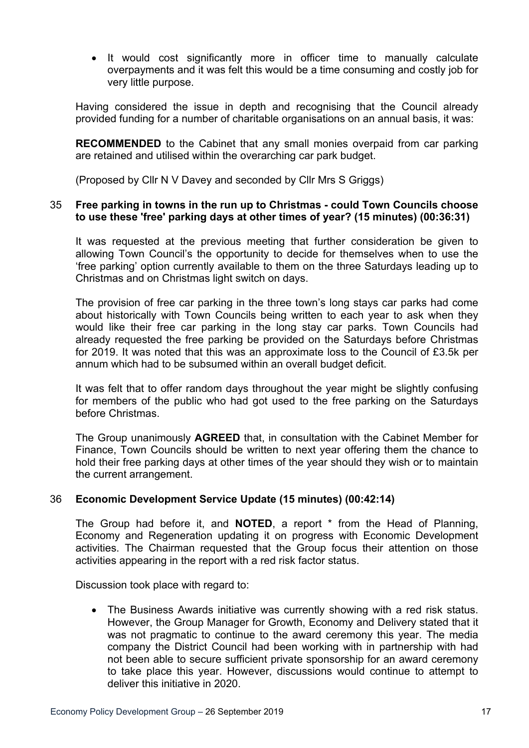• It would cost significantly more in officer time to manually calculate overpayments and it was felt this would be a time consuming and costly job for very little purpose.

Having considered the issue in depth and recognising that the Council already provided funding for a number of charitable organisations on an annual basis, it was:

**RECOMMENDED** to the Cabinet that any small monies overpaid from car parking are retained and utilised within the overarching car park budget.

(Proposed by Cllr N V Davey and seconded by Cllr Mrs S Griggs)

### 35 **Free parking in towns in the run up to Christmas - could Town Councils choose to use these 'free' parking days at other times of year? (15 minutes) (00:36:31)**

It was requested at the previous meeting that further consideration be given to allowing Town Council's the opportunity to decide for themselves when to use the 'free parking' option currently available to them on the three Saturdays leading up to Christmas and on Christmas light switch on days.

The provision of free car parking in the three town's long stays car parks had come about historically with Town Councils being written to each year to ask when they would like their free car parking in the long stay car parks. Town Councils had already requested the free parking be provided on the Saturdays before Christmas for 2019. It was noted that this was an approximate loss to the Council of £3.5k per annum which had to be subsumed within an overall budget deficit.

It was felt that to offer random days throughout the year might be slightly confusing for members of the public who had got used to the free parking on the Saturdays before Christmas.

The Group unanimously **AGREED** that, in consultation with the Cabinet Member for Finance, Town Councils should be written to next year offering them the chance to hold their free parking days at other times of the year should they wish or to maintain the current arrangement.

### 36 **Economic Development Service Update (15 minutes) (00:42:14)**

The Group had before it, and **NOTED**, a report \* from the Head of Planning, Economy and Regeneration updating it on progress with Economic Development activities. The Chairman requested that the Group focus their attention on those activities appearing in the report with a red risk factor status.

Discussion took place with regard to:

 The Business Awards initiative was currently showing with a red risk status. However, the Group Manager for Growth, Economy and Delivery stated that it was not pragmatic to continue to the award ceremony this year. The media company the District Council had been working with in partnership with had not been able to secure sufficient private sponsorship for an award ceremony to take place this year. However, discussions would continue to attempt to deliver this initiative in 2020.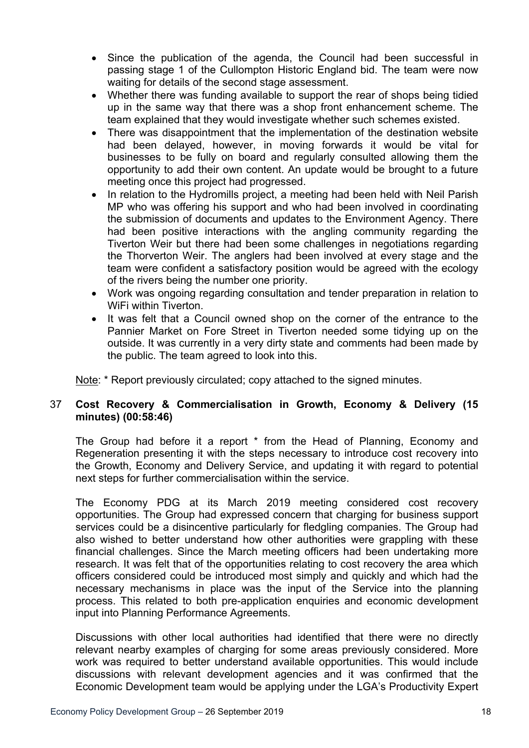- Since the publication of the agenda, the Council had been successful in passing stage 1 of the Cullompton Historic England bid. The team were now waiting for details of the second stage assessment.
- Whether there was funding available to support the rear of shops being tidied up in the same way that there was a shop front enhancement scheme. The team explained that they would investigate whether such schemes existed.
- There was disappointment that the implementation of the destination website had been delayed, however, in moving forwards it would be vital for businesses to be fully on board and regularly consulted allowing them the opportunity to add their own content. An update would be brought to a future meeting once this project had progressed.
- In relation to the Hydromills project, a meeting had been held with Neil Parish MP who was offering his support and who had been involved in coordinating the submission of documents and updates to the Environment Agency. There had been positive interactions with the angling community regarding the Tiverton Weir but there had been some challenges in negotiations regarding the Thorverton Weir. The anglers had been involved at every stage and the team were confident a satisfactory position would be agreed with the ecology of the rivers being the number one priority.
- Work was ongoing regarding consultation and tender preparation in relation to WiFi within Tiverton.
- It was felt that a Council owned shop on the corner of the entrance to the Pannier Market on Fore Street in Tiverton needed some tidying up on the outside. It was currently in a very dirty state and comments had been made by the public. The team agreed to look into this.

Note: \* Report previously circulated; copy attached to the signed minutes.

## 37 **Cost Recovery & Commercialisation in Growth, Economy & Delivery (15 minutes) (00:58:46)**

The Group had before it a report \* from the Head of Planning, Economy and Regeneration presenting it with the steps necessary to introduce cost recovery into the Growth, Economy and Delivery Service, and updating it with regard to potential next steps for further commercialisation within the service.

The Economy PDG at its March 2019 meeting considered cost recovery opportunities. The Group had expressed concern that charging for business support services could be a disincentive particularly for fledgling companies. The Group had also wished to better understand how other authorities were grappling with these financial challenges. Since the March meeting officers had been undertaking more research. It was felt that of the opportunities relating to cost recovery the area which officers considered could be introduced most simply and quickly and which had the necessary mechanisms in place was the input of the Service into the planning process. This related to both pre-application enquiries and economic development input into Planning Performance Agreements.

Discussions with other local authorities had identified that there were no directly relevant nearby examples of charging for some areas previously considered. More work was required to better understand available opportunities. This would include discussions with relevant development agencies and it was confirmed that the Economic Development team would be applying under the LGA's Productivity Expert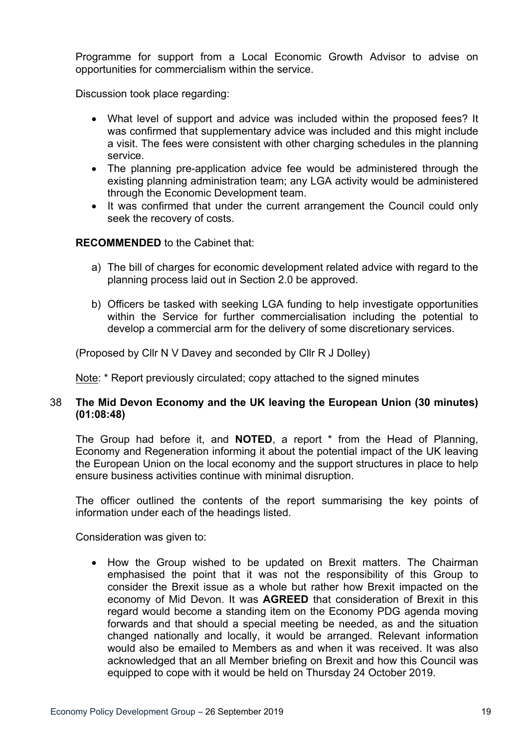Programme for support from a Local Economic Growth Advisor to advise on opportunities for commercialism within the service.

Discussion took place regarding:

- What level of support and advice was included within the proposed fees? It was confirmed that supplementary advice was included and this might include a visit. The fees were consistent with other charging schedules in the planning service.
- The planning pre-application advice fee would be administered through the existing planning administration team; any LGA activity would be administered through the Economic Development team.
- It was confirmed that under the current arrangement the Council could only seek the recovery of costs.

### **RECOMMENDED** to the Cabinet that:

- a) The bill of charges for economic development related advice with regard to the planning process laid out in Section 2.0 be approved.
- b) Officers be tasked with seeking LGA funding to help investigate opportunities within the Service for further commercialisation including the potential to develop a commercial arm for the delivery of some discretionary services.

(Proposed by Cllr N V Davey and seconded by Cllr R J Dolley)

Note: \* Report previously circulated; copy attached to the signed minutes

### 38 **The Mid Devon Economy and the UK leaving the European Union (30 minutes) (01:08:48)**

The Group had before it, and **NOTED**, a report \* from the Head of Planning, Economy and Regeneration informing it about the potential impact of the UK leaving the European Union on the local economy and the support structures in place to help ensure business activities continue with minimal disruption.

The officer outlined the contents of the report summarising the key points of information under each of the headings listed.

Consideration was given to:

• How the Group wished to be updated on Brexit matters. The Chairman emphasised the point that it was not the responsibility of this Group to consider the Brexit issue as a whole but rather how Brexit impacted on the economy of Mid Devon. It was **AGREED** that consideration of Brexit in this regard would become a standing item on the Economy PDG agenda moving forwards and that should a special meeting be needed, as and the situation changed nationally and locally, it would be arranged. Relevant information would also be emailed to Members as and when it was received. It was also acknowledged that an all Member briefing on Brexit and how this Council was equipped to cope with it would be held on Thursday 24 October 2019.